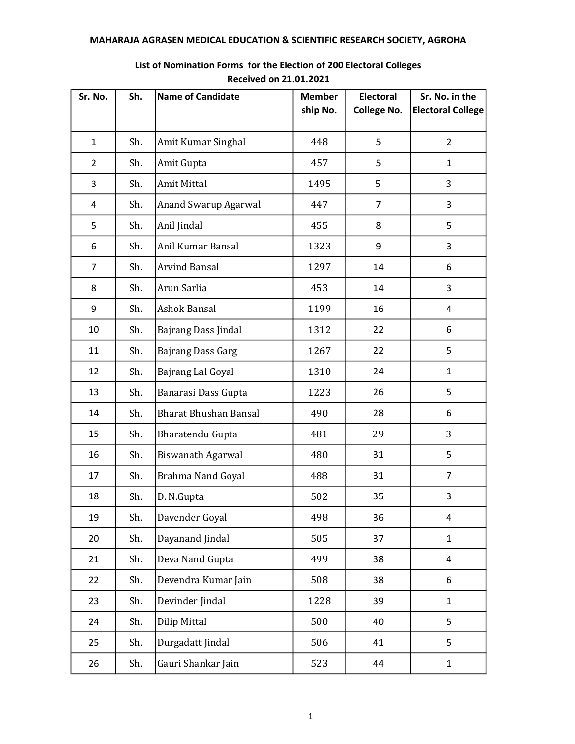| Sr. No.        | Sh. | <b>Name of Candidate</b>     | <b>Member</b><br>ship No. | <b>Electoral</b><br><b>College No.</b> | Sr. No. in the<br><b>Electoral College</b> |
|----------------|-----|------------------------------|---------------------------|----------------------------------------|--------------------------------------------|
|                |     |                              |                           |                                        |                                            |
| $\mathbf{1}$   | Sh. | Amit Kumar Singhal           | 448                       | 5                                      | $\overline{2}$                             |
| $\overline{2}$ | Sh. | Amit Gupta                   | 457                       | 5                                      | $\mathbf{1}$                               |
| 3              | Sh. | <b>Amit Mittal</b>           | 1495                      | 5                                      | 3                                          |
| 4              | Sh. | Anand Swarup Agarwal         | 447                       | $\overline{7}$                         | 3                                          |
| 5              | Sh. | Anil Jindal                  | 455                       | 8                                      | 5                                          |
| 6              | Sh. | Anil Kumar Bansal            | 1323                      | 9                                      | 3                                          |
| $\overline{7}$ | Sh. | <b>Arvind Bansal</b>         | 1297                      | 14                                     | 6                                          |
| 8              | Sh. | Arun Sarlia                  | 453                       | 14                                     | 3                                          |
| 9              | Sh. | Ashok Bansal                 | 1199                      | 16                                     | 4                                          |
| 10             | Sh. | Bajrang Dass Jindal          | 1312                      | 22                                     | 6                                          |
| 11             | Sh. | Bajrang Dass Garg            | 1267                      | 22                                     | 5                                          |
| 12             | Sh. | Bajrang Lal Goyal            | 1310                      | 24                                     | $\mathbf{1}$                               |
| 13             | Sh. | Banarasi Dass Gupta          | 1223                      | 26                                     | 5                                          |
| 14             | Sh. | <b>Bharat Bhushan Bansal</b> | 490                       | 28                                     | 6                                          |
| 15             | Sh. | Bharatendu Gupta             | 481                       | 29                                     | 3                                          |
| 16             | Sh. | <b>Biswanath Agarwal</b>     | 480                       | 31                                     | 5                                          |
| 17             | Sh. | Brahma Nand Goyal            | 488                       | 31                                     | $\overline{7}$                             |
| 18             | Sh. | D. N.Gupta                   | 502                       | 35                                     | 3                                          |
| 19             | Sh. | Davender Goyal               | 498                       | 36                                     | 4                                          |
| 20             | Sh. | Dayanand Jindal              | 505                       | 37                                     | $\mathbf{1}$                               |
| 21             | Sh. | Deva Nand Gupta              | 499                       | 38                                     | 4                                          |
| 22             | Sh. | Devendra Kumar Jain          | 508                       | 38                                     | 6                                          |
| 23             | Sh. | Devinder Jindal              | 1228                      | 39                                     | $\mathbf{1}$                               |
| 24             | Sh. | Dilip Mittal                 | 500                       | 40                                     | 5                                          |
| 25             | Sh. | Durgadatt Jindal             | 506                       | 41                                     | 5                                          |
| 26             | Sh. | Gauri Shankar Jain           | 523                       | 44                                     | $\mathbf{1}$                               |

## List of Nomination Forms for the Election of 200 Electoral Colleges Received on 21.01.2021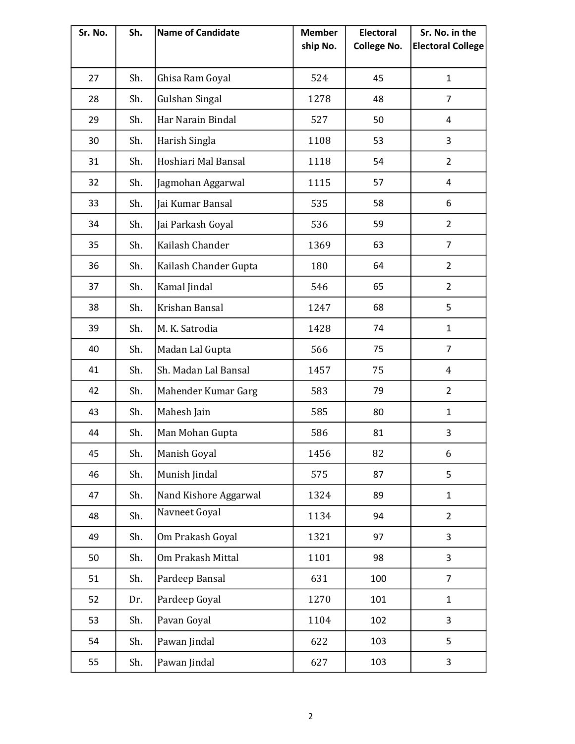| Sr. No. | Sh. | <b>Name of Candidate</b> | <b>Member</b><br>ship No. | <b>Electoral</b><br><b>College No.</b> | Sr. No. in the<br><b>Electoral College</b> |
|---------|-----|--------------------------|---------------------------|----------------------------------------|--------------------------------------------|
| 27      | Sh. | Ghisa Ram Goyal          | 524                       | 45                                     | 1                                          |
| 28      | Sh. | Gulshan Singal           | 1278                      | 48                                     | 7                                          |
| 29      | Sh. | Har Narain Bindal        | 527                       | 50                                     | 4                                          |
| 30      | Sh. | Harish Singla            | 1108                      | 53                                     | 3                                          |
| 31      | Sh. | Hoshiari Mal Bansal      | 1118                      | 54                                     | $\overline{2}$                             |
| 32      | Sh. | Jagmohan Aggarwal        | 1115                      | 57                                     | 4                                          |
| 33      | Sh. | Jai Kumar Bansal         | 535                       | 58                                     | 6                                          |
| 34      | Sh. | Jai Parkash Goyal        | 536                       | 59                                     | $\overline{2}$                             |
| 35      | Sh. | Kailash Chander          | 1369                      | 63                                     | 7                                          |
| 36      | Sh. | Kailash Chander Gupta    | 180                       | 64                                     | $\overline{2}$                             |
| 37      | Sh. | Kamal Jindal             | 546                       | 65                                     | $\overline{2}$                             |
| 38      | Sh. | Krishan Bansal           | 1247                      | 68                                     | 5                                          |
| 39      | Sh. | M. K. Satrodia           | 1428                      | 74                                     | $\mathbf{1}$                               |
| 40      | Sh. | Madan Lal Gupta          | 566                       | 75                                     | $\overline{7}$                             |
| 41      | Sh. | Sh. Madan Lal Bansal     | 1457                      | 75                                     | $\overline{4}$                             |
| 42      | Sh. | Mahender Kumar Garg      | 583                       | 79                                     | $\overline{2}$                             |
| 43      | Sh. | Mahesh Jain              | 585                       | 80                                     | $\mathbf{1}$                               |
| 44      | Sh. | Man Mohan Gupta          | 586                       | 81                                     | 3                                          |
| 45      | Sh. | Manish Goyal             | 1456                      | 82                                     | 6                                          |
| 46      | Sh. | Munish Jindal            | 575                       | 87                                     | 5                                          |
| 47      | Sh. | Nand Kishore Aggarwal    | 1324                      | 89                                     | $\mathbf{1}$                               |
| 48      | Sh. | Navneet Goyal            | 1134                      | 94                                     | $\overline{2}$                             |
| 49      | Sh. | Om Prakash Goyal         | 1321                      | 97                                     | 3                                          |
| 50      | Sh. | Om Prakash Mittal        | 1101                      | 98                                     | 3                                          |
| 51      | Sh. | Pardeep Bansal           | 631                       | 100                                    | $\overline{7}$                             |
| 52      | Dr. | Pardeep Goyal            | 1270                      | 101                                    | $\mathbf{1}$                               |
| 53      | Sh. | Pavan Goyal              | 1104                      | 102                                    | 3                                          |
| 54      | Sh. | Pawan Jindal             | 622                       | 103                                    | 5                                          |
| 55      | Sh. | Pawan Jindal             | 627                       | 103                                    | 3                                          |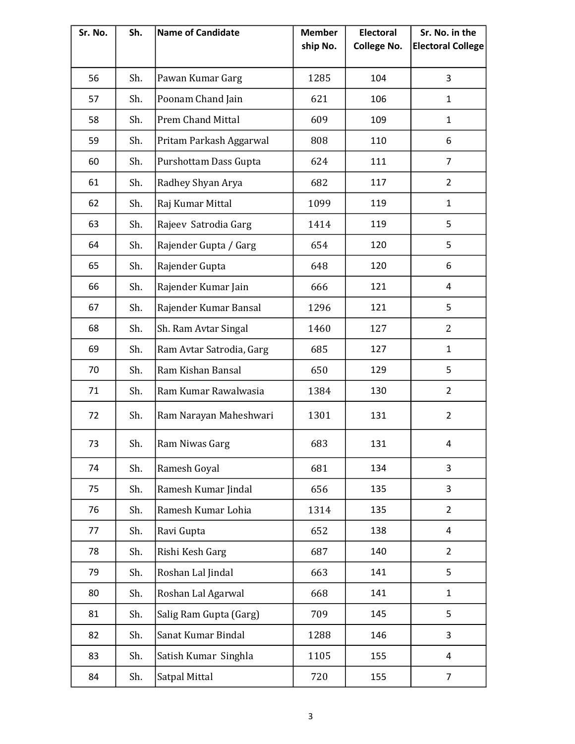| Sr. No. | Sh. | <b>Name of Candidate</b> | <b>Member</b><br>ship No. | <b>Electoral</b><br><b>College No.</b> | Sr. No. in the<br><b>Electoral College</b> |
|---------|-----|--------------------------|---------------------------|----------------------------------------|--------------------------------------------|
|         |     |                          |                           |                                        |                                            |
| 56      | Sh. | Pawan Kumar Garg         | 1285                      | 104                                    | 3                                          |
| 57      | Sh. | Poonam Chand Jain        | 621                       | 106                                    | $\mathbf{1}$                               |
| 58      | Sh. | <b>Prem Chand Mittal</b> | 609                       | 109                                    | $\mathbf{1}$                               |
| 59      | Sh. | Pritam Parkash Aggarwal  | 808                       | 110                                    | 6                                          |
| 60      | Sh. | Purshottam Dass Gupta    | 624                       | 111                                    | 7                                          |
| 61      | Sh. | Radhey Shyan Arya        | 682                       | 117                                    | $\overline{2}$                             |
| 62      | Sh. | Raj Kumar Mittal         | 1099                      | 119                                    | $\mathbf{1}$                               |
| 63      | Sh. | Rajeev Satrodia Garg     | 1414                      | 119                                    | 5                                          |
| 64      | Sh. | Rajender Gupta / Garg    | 654                       | 120                                    | 5                                          |
| 65      | Sh. | Rajender Gupta           | 648                       | 120                                    | 6                                          |
| 66      | Sh. | Rajender Kumar Jain      | 666                       | 121                                    | 4                                          |
| 67      | Sh. | Rajender Kumar Bansal    | 1296                      | 121                                    | 5                                          |
| 68      | Sh. | Sh. Ram Avtar Singal     | 1460                      | 127                                    | $\overline{2}$                             |
| 69      | Sh. | Ram Avtar Satrodia, Garg | 685                       | 127                                    | $\mathbf{1}$                               |
| 70      | Sh. | Ram Kishan Bansal        | 650                       | 129                                    | 5                                          |
| 71      | Sh. | Ram Kumar Rawalwasia     | 1384                      | 130                                    | $\overline{2}$                             |
| 72      | Sh. | Ram Narayan Maheshwari   | 1301                      | 131                                    | $\overline{2}$                             |
| 73      | Sh. | Ram Niwas Garg           | 683                       | 131                                    | 4                                          |
| 74      | Sh. | Ramesh Goyal             | 681                       | 134                                    | 3                                          |
| 75      | Sh. | Ramesh Kumar Jindal      | 656                       | 135                                    | 3                                          |
| 76      | Sh. | Ramesh Kumar Lohia       | 1314                      | 135                                    | $\overline{2}$                             |
| 77      | Sh. | Ravi Gupta               | 652                       | 138                                    | 4                                          |
| 78      | Sh. | Rishi Kesh Garg          | 687                       | 140                                    | $\overline{2}$                             |
| 79      | Sh. | Roshan Lal Jindal        | 663                       | 141                                    | 5                                          |
| 80      | Sh. | Roshan Lal Agarwal       | 668                       | 141                                    | $\mathbf{1}$                               |
| 81      | Sh. | Salig Ram Gupta (Garg)   | 709                       | 145                                    | 5                                          |
| 82      | Sh. | Sanat Kumar Bindal       | 1288                      | 146                                    | 3                                          |
| 83      | Sh. | Satish Kumar Singhla     | 1105                      | 155                                    | 4                                          |
| 84      | Sh. | Satpal Mittal            | 720                       | 155                                    | $\overline{7}$                             |